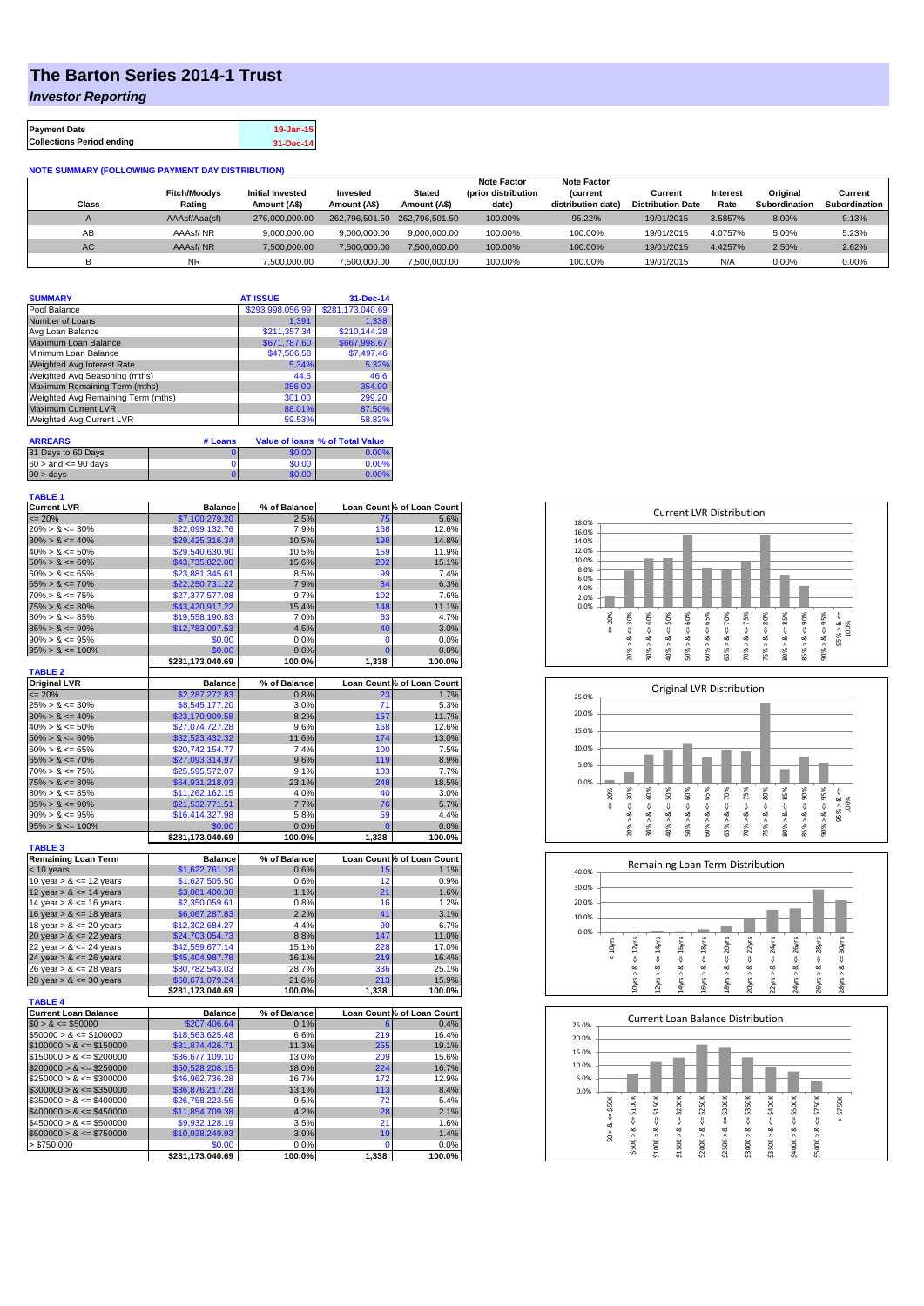## **The Barton Series 2014-1 Trust**

*Investor Reporting*

| <b>Payment Date</b>              | 19-Jan-15 |
|----------------------------------|-----------|
| <b>Collections Period ending</b> | 31-Dec-14 |

**NOTE SUMMARY (FOLLOWING PAYMENT DAY DISTRIBUTION)**

| Class     | <b>Fitch/Moodvs</b><br>Rating | <b>Initial Invested</b><br>Amount (A\$) | Invested<br>Amount (A\$) | <b>Stated</b><br>Amount (A\$) | <b>Note Factor</b><br>(prior distribution<br>date) | <b>Note Factor</b><br><b>Current</b><br>distribution date) | Current<br><b>Distribution Date</b> | Interest<br>Rate | Original<br>Subordination | Current<br>Subordination |
|-----------|-------------------------------|-----------------------------------------|--------------------------|-------------------------------|----------------------------------------------------|------------------------------------------------------------|-------------------------------------|------------------|---------------------------|--------------------------|
|           | AAAsf/Aaa(sf)                 | 276,000,000,00                          |                          | 262,796,501.50 262,796,501.50 | 100.00%                                            | 95.22%                                                     | 19/01/2015                          | 3.5857%          | 8.00%                     | 9.13%                    |
| AB        | AAAsf/NR                      | 9.000.000.00                            | 9.000.000.00             | 9.000.000.00                  | 100.00%                                            | 100.00%                                                    | 19/01/2015                          | 4.0757%          | 5.00%                     | 5.23%                    |
| <b>AC</b> | AAAsf/NR                      | 7.500.000.00                            | 7.500.000.00             | 7.500.000.00                  | 100.00%                                            | 100.00%                                                    | 19/01/2015                          | 4.4257%          | 2.50%                     | 2.62%                    |
|           | <b>NR</b>                     | 7,500,000.00                            | 7,500,000.00             | 7,500,000.00                  | 100.00%                                            | 100.00%                                                    | 19/01/2015                          | N/F              | 0.00%                     | 0.00%                    |

| <b>SUMMARY</b>                     | <b>AT ISSUE</b>  | 31-Dec-14        |
|------------------------------------|------------------|------------------|
| Pool Balance                       | \$293,998,056.99 | \$281,173,040.69 |
| Number of Loans                    | 1.391            | 1.338            |
| Avg Loan Balance                   | \$211,357.34     | \$210,144.28     |
| Maximum Loan Balance               | \$671,787.60     | \$667,998.67     |
| Minimum Loan Balance               | \$47,506.58      | \$7,497.46       |
| Weighted Avg Interest Rate         | 5.34%            | 5.32%            |
| Weighted Avg Seasoning (mths)      | 44.6             | 46.6             |
| Maximum Remaining Term (mths)      | 356.00           | 354.00           |
| Weighted Avg Remaining Term (mths) | 301.00           | 299.20           |
| <b>Maximum Current LVR</b>         | 88.01%           | 87.50%           |
| Weighted Avg Current LVR           | 59.53%           | 58.82%           |

| <b>ARREARS</b>            | # Loans |        | Value of Ioans % of Total Value |
|---------------------------|---------|--------|---------------------------------|
| 31 Days to 60 Days        |         | \$0.00 | $0.00\%$                        |
| $60 >$ and $\leq 90$ days |         | \$0.00 | $0.00\%$                        |
| $90 >$ days               |         | \$0.00 | $0.00\%$                        |

| <b>TABLE 1</b>                             |                                    |              |                |                            |
|--------------------------------------------|------------------------------------|--------------|----------------|----------------------------|
| <b>Current LVR</b>                         | <b>Balance</b>                     | % of Balance |                | Loan Count % of Loan Count |
| $= 20%$                                    | \$7,100,279.20                     | 2.5%         | 75             | 5.6%                       |
| $20\% > 8 \le 30\%$                        | \$22,099,132.76                    | 7.9%         | 168            | 12.6%                      |
| $30\% > 8 \le 40\%$                        | \$29,425,316.34                    | 10.5%        | 198            | 14.8%                      |
| $40\% > 8 \le 50\%$                        | \$29,540,630.90                    | 10.5%        | 159            | 11.9%                      |
| $50\% > 8 \le 60\%$                        | \$43,735,822.00                    | 15.6%        | 202            | 15.1%                      |
| $60\% > 8 \le 65\%$                        | \$23,881,345.61                    | 8.5%         | 99             | 7.4%                       |
| $65\% > 8 \le 70\%$                        | \$22,250,731.22                    | 7.9%         | 84             | 6.3%                       |
| $70\% > 8 \le 75\%$                        | \$27,377,577.08                    | 9.7%         | 102            | 7.6%                       |
| $75\% > 8 \le 80\%$                        | \$43,420,917.22                    | 15.4%        | 148            | 11.1%                      |
| $80\% > 8 \le 85\%$                        | \$19,558,190.83                    | 7.0%         | 63             | 4.7%                       |
| $85\% > 8 \le 90\%$                        | \$12,783,097.53                    | 4.5%         | 40             | 3.0%                       |
| $90\% > 8 \le 95\%$                        | \$0.00                             | 0.0%         | $\mathbf 0$    | 0.0%                       |
| $95\% > 8 \le 100\%$                       | \$0.00                             | 0.0%         | $\overline{0}$ | 0.0%                       |
|                                            | \$281,173,040.69                   | 100.0%       | 1,338          | 100.0%                     |
| <b>TABLE 2</b>                             |                                    |              |                |                            |
| <b>Original LVR</b>                        | <b>Balance</b>                     | % of Balance |                | Loan Count % of Loan Count |
| $= 20%$                                    | \$2,287,272.83                     | 0.8%         | 23             | 1.7%                       |
| $25\% > 8 \le 30\%$                        | \$8,545,177.20                     | 3.0%         | 71             | 5.3%                       |
| $30\% > 8 \le 40\%$                        | \$23,170,909.58                    | 8.2%         | 157            | 11.7%                      |
| $40\% > 8 \le 50\%$                        | \$27,074,727.28                    | 9.6%         | 168            | 12.6%                      |
| $50\% > 8 \le 60\%$                        | \$32,523,432.32                    | 11.6%        | 174<br>100     | 13.0%<br>7.5%              |
| $60\% > 8 \le 65\%$<br>$65\% > 8 \le 70\%$ | \$20,742,154.77                    | 7.4%         |                |                            |
| $70\% > 8 \le 75\%$                        | \$27,093,314.97<br>\$25,595,572.07 | 9.6%<br>9.1% | 119<br>103     | 8.9%<br>7.7%               |
| $75\% > 8 \le 80\%$                        |                                    | 23.1%        | 248            | 18.5%                      |
| $80\% > 8 \le 85\%$                        | \$64,931,218.03<br>\$11,262,162.15 | 4.0%         | 40             | 3.0%                       |
| $85\% > 8 \le 90\%$                        | \$21,532,771.51                    | 7.7%         | 76             | 5.7%                       |
| $90\% > 8 \le 95\%$                        | \$16,414,327.98                    | 5.8%         | 59             | 4.4%                       |
| $95\% > 8 \le 100\%$                       | \$0.00                             | 0.0%         | $\overline{0}$ | 0.0%                       |
|                                            | \$281,173,040.69                   | 100.0%       | 1,338          | 100.0%                     |
| <b>TABLE 3</b>                             |                                    |              |                |                            |
| <b>Remaining Loan Term</b>                 | <b>Balance</b>                     | % of Balance |                | Loan Count % of Loan Count |
| $<$ 10 years                               | \$1,622,761.18                     | 0.6%         | 15             | 1.1%                       |
| 10 year $> 8 \le 12$ years                 | \$1,627,505.50                     | 0.6%         | 12             | 0.9%                       |
| 12 year $> 8 \le 14$ years                 | \$3,081,400.38                     | 1.1%         | 21             | 1.6%                       |
| 14 year $> 8 \le 16$ years                 | \$2,350,059.61                     | 0.8%         | 16             | 1.2%                       |
| 16 year $> 8 \le 18$ years                 | \$6,067,287.83                     | 2.2%         | 41             | 3.1%                       |
| 18 year $> 8 \le 20$ years                 | \$12,302,684.27                    | 4.4%         | 90             | 6.7%                       |
| 20 year $> 8 \le 22$ years                 | \$24,703,054.73                    | 8.8%         | 147            | 11.0%                      |
| 22 year $> 8 \le 24$ years                 | \$42,559,677.14                    | 15.1%        | 228            | 17.0%                      |
| 24 year > & <= 26 years                    | \$45,404,987.78                    | 16.1%        | 219            | 16.4%                      |
| 26 year $> 8 \le 28$ years                 | \$80,782,543.03                    | 28.7%        | 336            | 25.1%                      |
| 28 year $> 8 \le 30$ years                 | \$60,671,079.24                    | 21.6%        | 213            | 15.9%                      |
| <b>TABLE 4</b>                             | \$281,173,040.69                   | 100.0%       | 1,338          | 100.0%                     |
| <b>Current Loan Balance</b>                | <b>Balance</b>                     | % of Balance |                | Loan Count % of Loan Count |
| $$0 > 8 \le $50000$                        | \$207,406.64                       | 0.1%         | 6              | 0.4%                       |
| $$50000 > 8 \le $100000$                   | \$18,563,625.48                    | 6.6%         | 219            | 16.4%                      |
| $$100000 > 8 \leq $150000$                 | \$31,874,426.71                    | 11.3%        | 255            | 19.1%                      |
| $$150000 > 8 \leq $200000$                 | \$36,677,109.10                    | 13.0%        | 209            | 15.6%                      |
| $$200000 > 8 \leq $250000$                 | \$50,528,208.15                    | 18.0%        | 224            | 16.7%                      |
| $$250000 > 8 \leq $300000$                 | \$46,962,736.28                    | 16.7%        | 172            | 12.9%                      |
| $$300000 > 8 \leq $350000$                 | \$36,876,217.28                    | 13.1%        | 113            | 8.4%                       |
| $$350000 > 8 \leq $400000$                 | \$26,758,223.55                    | 9.5%         | 72             | 5.4%                       |
| $$400000 > 8 \leq $450000$                 | \$11,854,709.38                    | 4.2%         | 28             | 2.1%                       |
| $$450000 > 8 \le $500000$                  | \$9,932,128.19                     | 3.5%         | 21             | 1.6%                       |
| $$500000 > 8 \leq $750000$                 | \$10,938,249.93                    | 3.9%         | 19             | 1.4%                       |
| > \$750,000                                | \$0.00                             | 0.0%         | 0              | 0.0%                       |
|                                            | \$281,173,040.69                   | 100.0%       | 1,338          | 100.0%                     |